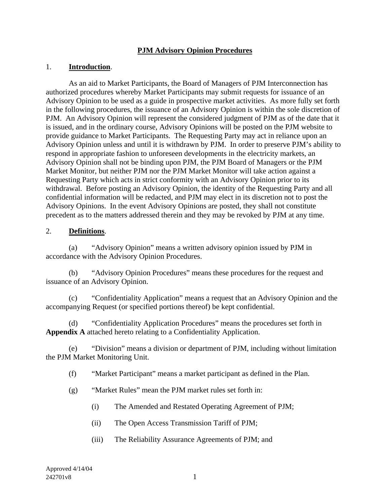### **PJM Advisory Opinion Procedures**

### 1. **Introduction**.

As an aid to Market Participants, the Board of Managers of PJM Interconnection has authorized procedures whereby Market Participants may submit requests for issuance of an Advisory Opinion to be used as a guide in prospective market activities. As more fully set forth in the following procedures, the issuance of an Advisory Opinion is within the sole discretion of PJM. An Advisory Opinion will represent the considered judgment of PJM as of the date that it is issued, and in the ordinary course, Advisory Opinions will be posted on the PJM website to provide guidance to Market Participants. The Requesting Party may act in reliance upon an Advisory Opinion unless and until it is withdrawn by PJM. In order to preserve PJM's ability to respond in appropriate fashion to unforeseen developments in the electricity markets, an Advisory Opinion shall not be binding upon PJM, the PJM Board of Managers or the PJM Market Monitor, but neither PJM nor the PJM Market Monitor will take action against a Requesting Party which acts in strict conformity with an Advisory Opinion prior to its withdrawal. Before posting an Advisory Opinion, the identity of the Requesting Party and all confidential information will be redacted, and PJM may elect in its discretion not to post the Advisory Opinions. In the event Advisory Opinions are posted, they shall not constitute precedent as to the matters addressed therein and they may be revoked by PJM at any time.

#### 2. **Definitions**.

(a) "Advisory Opinion" means a written advisory opinion issued by PJM in accordance with the Advisory Opinion Procedures.

(b) "Advisory Opinion Procedures" means these procedures for the request and issuance of an Advisory Opinion.

(c) "Confidentiality Application" means a request that an Advisory Opinion and the accompanying Request (or specified portions thereof) be kept confidential.

(d) "Confidentiality Application Procedures" means the procedures set forth in **Appendix A** attached hereto relating to a Confidentiality Application.

(e) "Division" means a division or department of PJM, including without limitation the PJM Market Monitoring Unit.

(f) "Market Participant" means a market participant as defined in the Plan.

- (g) "Market Rules" mean the PJM market rules set forth in:
	- (i) The Amended and Restated Operating Agreement of PJM;
	- (ii) The Open Access Transmission Tariff of PJM;
	- (iii) The Reliability Assurance Agreements of PJM; and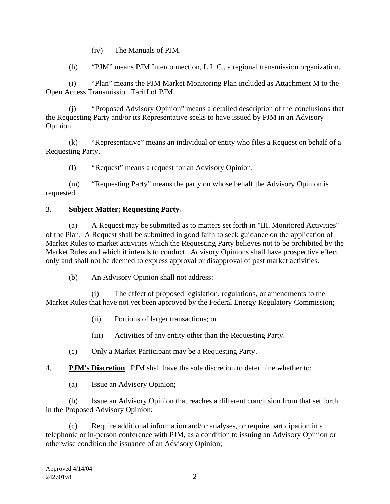(iv) The Manuals of PJM.

(h) "PJM" means PJM Interconnection, L.L.C., a regional transmission organization.

(i) "Plan" means the PJM Market Monitoring Plan included as Attachment M to the Open Access Transmission Tariff of PJM.

(j) "Proposed Advisory Opinion" means a detailed description of the conclusions that the Requesting Party and/or its Representative seeks to have issued by PJM in an Advisory Opinion.

(k) "Representative" means an individual or entity who files a Request on behalf of a Requesting Party.

(l) "Request" means a request for an Advisory Opinion.

(m) "Requesting Party" means the party on whose behalf the Advisory Opinion is requested.

## 3. **Subject Matter; Requesting Party**.

(a) A Request may be submitted as to matters set forth in "III. Monitored Activities" of the Plan. A Request shall be submitted in good faith to seek guidance on the application of Market Rules to market activities which the Requesting Party believes not to be prohibited by the Market Rules and which it intends to conduct. Advisory Opinions shall have prospective effect only and shall not be deemed to express approval or disapproval of past market activities.

(b) An Advisory Opinion shall not address:

The effect of proposed legislation, regulations, or amendments to the Market Rules that have not yet been approved by the Federal Energy Regulatory Commission;

- (ii) Portions of larger transactions; or
- (iii) Activities of any entity other than the Requesting Party.
- (c) Only a Market Participant may be a Requesting Party.
- 4. **PJM's Discretion**. PJM shall have the sole discretion to determine whether to:
	- (a) Issue an Advisory Opinion;

(b) Issue an Advisory Opinion that reaches a different conclusion from that set forth in the Proposed Advisory Opinion;

(c) Require additional information and/or analyses, or require participation in a telephonic or in-person conference with PJM, as a condition to issuing an Advisory Opinion or otherwise condition the issuance of an Advisory Opinion;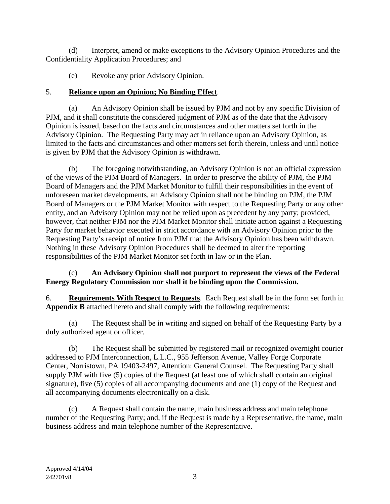(d) Interpret, amend or make exceptions to the Advisory Opinion Procedures and the Confidentiality Application Procedures; and

(e) Revoke any prior Advisory Opinion.

# 5. **Reliance upon an Opinion; No Binding Effect**.

(a) An Advisory Opinion shall be issued by PJM and not by any specific Division of PJM, and it shall constitute the considered judgment of PJM as of the date that the Advisory Opinion is issued, based on the facts and circumstances and other matters set forth in the Advisory Opinion. The Requesting Party may act in reliance upon an Advisory Opinion, as limited to the facts and circumstances and other matters set forth therein, unless and until notice is given by PJM that the Advisory Opinion is withdrawn.

(b) The foregoing notwithstanding, an Advisory Opinion is not an official expression of the views of the PJM Board of Managers. In order to preserve the ability of PJM, the PJM Board of Managers and the PJM Market Monitor to fulfill their responsibilities in the event of unforeseen market developments, an Advisory Opinion shall not be binding on PJM, the PJM Board of Managers or the PJM Market Monitor with respect to the Requesting Party or any other entity, and an Advisory Opinion may not be relied upon as precedent by any party; provided, however, that neither PJM nor the PJM Market Monitor shall initiate action against a Requesting Party for market behavior executed in strict accordance with an Advisory Opinion prior to the Requesting Party's receipt of notice from PJM that the Advisory Opinion has been withdrawn. Nothing in these Advisory Opinion Procedures shall be deemed to alter the reporting responsibilities of the PJM Market Monitor set forth in law or in the Plan.

# (c) **An Advisory Opinion shall not purport to represent the views of the Federal Energy Regulatory Commission nor shall it be binding upon the Commission.**

6. **Requirements With Respect to Requests**. Each Request shall be in the form set forth in **Appendix B** attached hereto and shall comply with the following requirements:

(a) The Request shall be in writing and signed on behalf of the Requesting Party by a duly authorized agent or officer.

(b) The Request shall be submitted by registered mail or recognized overnight courier addressed to PJM Interconnection, L.L.C., 955 Jefferson Avenue, Valley Forge Corporate Center, Norristown, PA 19403-2497, Attention: General Counsel. The Requesting Party shall supply PJM with five (5) copies of the Request (at least one of which shall contain an original signature), five (5) copies of all accompanying documents and one (1) copy of the Request and all accompanying documents electronically on a disk.

(c) A Request shall contain the name, main business address and main telephone number of the Requesting Party; and, if the Request is made by a Representative, the name, main business address and main telephone number of the Representative.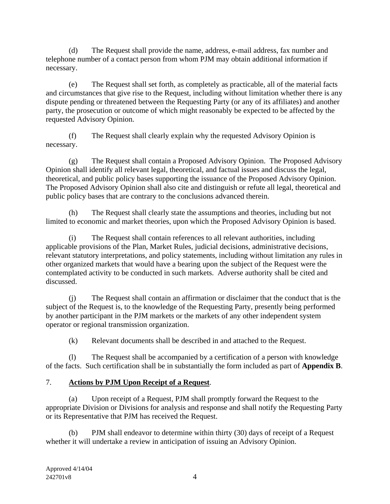(d) The Request shall provide the name, address, e-mail address, fax number and telephone number of a contact person from whom PJM may obtain additional information if necessary.

(e) The Request shall set forth, as completely as practicable, all of the material facts and circumstances that give rise to the Request, including without limitation whether there is any dispute pending or threatened between the Requesting Party (or any of its affiliates) and another party, the prosecution or outcome of which might reasonably be expected to be affected by the requested Advisory Opinion.

(f) The Request shall clearly explain why the requested Advisory Opinion is necessary.

(g) The Request shall contain a Proposed Advisory Opinion. The Proposed Advisory Opinion shall identify all relevant legal, theoretical, and factual issues and discuss the legal, theoretical, and public policy bases supporting the issuance of the Proposed Advisory Opinion. The Proposed Advisory Opinion shall also cite and distinguish or refute all legal, theoretical and public policy bases that are contrary to the conclusions advanced therein.

(h) The Request shall clearly state the assumptions and theories, including but not limited to economic and market theories, upon which the Proposed Advisory Opinion is based.

(i) The Request shall contain references to all relevant authorities, including applicable provisions of the Plan, Market Rules, judicial decisions, administrative decisions, relevant statutory interpretations, and policy statements, including without limitation any rules in other organized markets that would have a bearing upon the subject of the Request were the contemplated activity to be conducted in such markets. Adverse authority shall be cited and discussed.

(j) The Request shall contain an affirmation or disclaimer that the conduct that is the subject of the Request is, to the knowledge of the Requesting Party, presently being performed by another participant in the PJM markets or the markets of any other independent system operator or regional transmission organization.

(k) Relevant documents shall be described in and attached to the Request.

(l) The Request shall be accompanied by a certification of a person with knowledge of the facts. Such certification shall be in substantially the form included as part of **Appendix B**.

# 7. **Actions by PJM Upon Receipt of a Request**.

(a) Upon receipt of a Request, PJM shall promptly forward the Request to the appropriate Division or Divisions for analysis and response and shall notify the Requesting Party or its Representative that PJM has received the Request.

(b) PJM shall endeavor to determine within thirty (30) days of receipt of a Request whether it will undertake a review in anticipation of issuing an Advisory Opinion.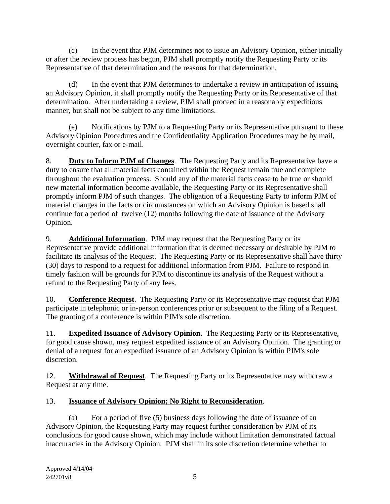(c) In the event that PJM determines not to issue an Advisory Opinion, either initially or after the review process has begun, PJM shall promptly notify the Requesting Party or its Representative of that determination and the reasons for that determination.

(d) In the event that PJM determines to undertake a review in anticipation of issuing an Advisory Opinion, it shall promptly notify the Requesting Party or its Representative of that determination. After undertaking a review, PJM shall proceed in a reasonably expeditious manner, but shall not be subject to any time limitations.

(e) Notifications by PJM to a Requesting Party or its Representative pursuant to these Advisory Opinion Procedures and the Confidentiality Application Procedures may be by mail, overnight courier, fax or e-mail.

8. **Duty to Inform PJM of Changes**. The Requesting Party and its Representative have a duty to ensure that all material facts contained within the Request remain true and complete throughout the evaluation process. Should any of the material facts cease to be true or should new material information become available, the Requesting Party or its Representative shall promptly inform PJM of such changes. The obligation of a Requesting Party to inform PJM of material changes in the facts or circumstances on which an Advisory Opinion is based shall continue for a period of twelve (12) months following the date of issuance of the Advisory Opinion.

9. **Additional Information**. PJM may request that the Requesting Party or its Representative provide additional information that is deemed necessary or desirable by PJM to facilitate its analysis of the Request. The Requesting Party or its Representative shall have thirty (30) days to respond to a request for additional information from PJM. Failure to respond in timely fashion will be grounds for PJM to discontinue its analysis of the Request without a refund to the Requesting Party of any fees.

10. **Conference Request**. The Requesting Party or its Representative may request that PJM participate in telephonic or in-person conferences prior or subsequent to the filing of a Request. The granting of a conference is within PJM's sole discretion.

11. **Expedited Issuance of Advisory Opinion**. The Requesting Party or its Representative, for good cause shown, may request expedited issuance of an Advisory Opinion. The granting or denial of a request for an expedited issuance of an Advisory Opinion is within PJM's sole discretion.

12. **Withdrawal of Request**. The Requesting Party or its Representative may withdraw a Request at any time.

# 13. **Issuance of Advisory Opinion; No Right to Reconsideration**.

(a) For a period of five (5) business days following the date of issuance of an Advisory Opinion, the Requesting Party may request further consideration by PJM of its conclusions for good cause shown, which may include without limitation demonstrated factual inaccuracies in the Advisory Opinion. PJM shall in its sole discretion determine whether to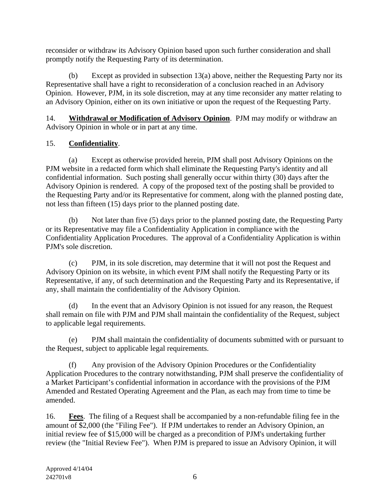reconsider or withdraw its Advisory Opinion based upon such further consideration and shall promptly notify the Requesting Party of its determination.

(b) Except as provided in subsection 13(a) above, neither the Requesting Party nor its Representative shall have a right to reconsideration of a conclusion reached in an Advisory Opinion. However, PJM, in its sole discretion, may at any time reconsider any matter relating to an Advisory Opinion, either on its own initiative or upon the request of the Requesting Party.

14. **Withdrawal or Modification of Advisory Opinion**. PJM may modify or withdraw an Advisory Opinion in whole or in part at any time.

# 15. **Confidentiality**.

(a) Except as otherwise provided herein, PJM shall post Advisory Opinions on the PJM website in a redacted form which shall eliminate the Requesting Party's identity and all confidential information. Such posting shall generally occur within thirty (30) days after the Advisory Opinion is rendered. A copy of the proposed text of the posting shall be provided to the Requesting Party and/or its Representative for comment, along with the planned posting date, not less than fifteen (15) days prior to the planned posting date.

(b) Not later than five (5) days prior to the planned posting date, the Requesting Party or its Representative may file a Confidentiality Application in compliance with the Confidentiality Application Procedures. The approval of a Confidentiality Application is within PJM's sole discretion.

(c) PJM, in its sole discretion, may determine that it will not post the Request and Advisory Opinion on its website, in which event PJM shall notify the Requesting Party or its Representative, if any, of such determination and the Requesting Party and its Representative, if any, shall maintain the confidentiality of the Advisory Opinion.

(d) In the event that an Advisory Opinion is not issued for any reason, the Request shall remain on file with PJM and PJM shall maintain the confidentiality of the Request, subject to applicable legal requirements.

(e) PJM shall maintain the confidentiality of documents submitted with or pursuant to the Request, subject to applicable legal requirements.

(f) Any provision of the Advisory Opinion Procedures or the Confidentiality Application Procedures to the contrary notwithstanding, PJM shall preserve the confidentiality of a Market Participant's confidential information in accordance with the provisions of the PJM Amended and Restated Operating Agreement and the Plan, as each may from time to time be amended.

16. **Fees**. The filing of a Request shall be accompanied by a non-refundable filing fee in the amount of \$2,000 (the "Filing Fee"). If PJM undertakes to render an Advisory Opinion, an initial review fee of \$15,000 will be charged as a precondition of PJM's undertaking further review (the "Initial Review Fee"). When PJM is prepared to issue an Advisory Opinion, it will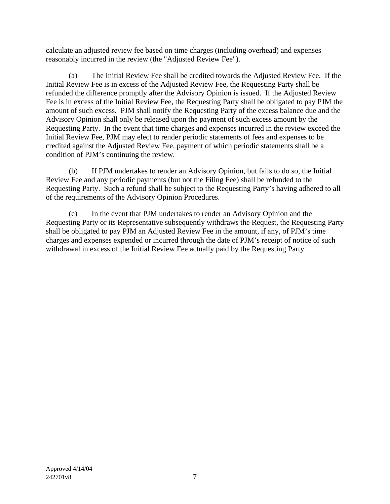calculate an adjusted review fee based on time charges (including overhead) and expenses reasonably incurred in the review (the "Adjusted Review Fee").

(a) The Initial Review Fee shall be credited towards the Adjusted Review Fee. If the Initial Review Fee is in excess of the Adjusted Review Fee, the Requesting Party shall be refunded the difference promptly after the Advisory Opinion is issued. If the Adjusted Review Fee is in excess of the Initial Review Fee, the Requesting Party shall be obligated to pay PJM the amount of such excess. PJM shall notify the Requesting Party of the excess balance due and the Advisory Opinion shall only be released upon the payment of such excess amount by the Requesting Party. In the event that time charges and expenses incurred in the review exceed the Initial Review Fee, PJM may elect to render periodic statements of fees and expenses to be credited against the Adjusted Review Fee, payment of which periodic statements shall be a condition of PJM's continuing the review.

(b) If PJM undertakes to render an Advisory Opinion, but fails to do so, the Initial Review Fee and any periodic payments (but not the Filing Fee) shall be refunded to the Requesting Party. Such a refund shall be subject to the Requesting Party's having adhered to all of the requirements of the Advisory Opinion Procedures.

(c) In the event that PJM undertakes to render an Advisory Opinion and the Requesting Party or its Representative subsequently withdraws the Request, the Requesting Party shall be obligated to pay PJM an Adjusted Review Fee in the amount, if any, of PJM's time charges and expenses expended or incurred through the date of PJM's receipt of notice of such withdrawal in excess of the Initial Review Fee actually paid by the Requesting Party.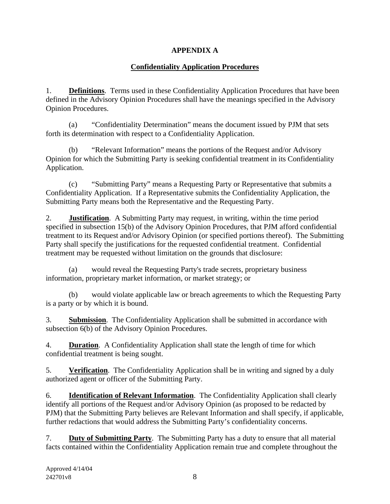# **APPENDIX A**

# **Confidentiality Application Procedures**

1. **Definitions**. Terms used in these Confidentiality Application Procedures that have been defined in the Advisory Opinion Procedures shall have the meanings specified in the Advisory Opinion Procedures.

(a) "Confidentiality Determination" means the document issued by PJM that sets forth its determination with respect to a Confidentiality Application.

(b) "Relevant Information" means the portions of the Request and/or Advisory Opinion for which the Submitting Party is seeking confidential treatment in its Confidentiality Application.

(c) "Submitting Party" means a Requesting Party or Representative that submits a Confidentiality Application. If a Representative submits the Confidentiality Application, the Submitting Party means both the Representative and the Requesting Party.

2. **Justification**. A Submitting Party may request, in writing, within the time period specified in subsection 15(b) of the Advisory Opinion Procedures, that PJM afford confidential treatment to its Request and/or Advisory Opinion (or specified portions thereof). The Submitting Party shall specify the justifications for the requested confidential treatment. Confidential treatment may be requested without limitation on the grounds that disclosure:

(a) would reveal the Requesting Party's trade secrets, proprietary business information, proprietary market information, or market strategy; or

(b) would violate applicable law or breach agreements to which the Requesting Party is a party or by which it is bound.

3. **Submission**. The Confidentiality Application shall be submitted in accordance with subsection 6(b) of the Advisory Opinion Procedures.

4. **Duration**. A Confidentiality Application shall state the length of time for which confidential treatment is being sought.

5. **Verification**. The Confidentiality Application shall be in writing and signed by a duly authorized agent or officer of the Submitting Party.

6. **Identification of Relevant Information**. The Confidentiality Application shall clearly identify all portions of the Request and/or Advisory Opinion (as proposed to be redacted by PJM) that the Submitting Party believes are Relevant Information and shall specify, if applicable, further redactions that would address the Submitting Party's confidentiality concerns.

7. **Duty of Submitting Party**. The Submitting Party has a duty to ensure that all material facts contained within the Confidentiality Application remain true and complete throughout the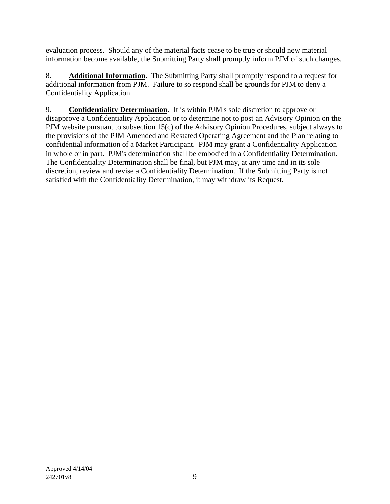evaluation process. Should any of the material facts cease to be true or should new material information become available, the Submitting Party shall promptly inform PJM of such changes.

8. **Additional Information**. The Submitting Party shall promptly respond to a request for additional information from PJM. Failure to so respond shall be grounds for PJM to deny a Confidentiality Application.

9. **Confidentiality Determination**. It is within PJM's sole discretion to approve or disapprove a Confidentiality Application or to determine not to post an Advisory Opinion on the PJM website pursuant to subsection 15(c) of the Advisory Opinion Procedures, subject always to the provisions of the PJM Amended and Restated Operating Agreement and the Plan relating to confidential information of a Market Participant. PJM may grant a Confidentiality Application in whole or in part. PJM's determination shall be embodied in a Confidentiality Determination. The Confidentiality Determination shall be final, but PJM may, at any time and in its sole discretion, review and revise a Confidentiality Determination. If the Submitting Party is not satisfied with the Confidentiality Determination, it may withdraw its Request.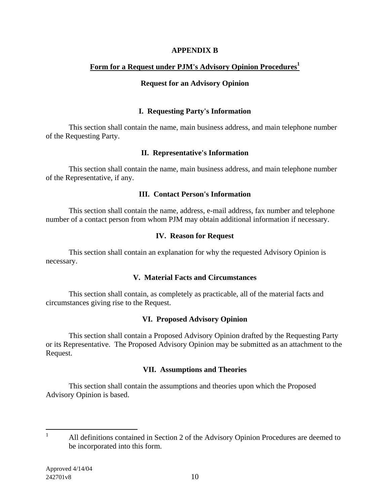#### **APPENDIX B**

### Form for a Request under PJM's Advisory Opinion Procedures<sup>1</sup>

#### **Request for an Advisory Opinion**

#### **I. Requesting Party's Information**

This section shall contain the name, main business address, and main telephone number of the Requesting Party.

#### **II. Representative's Information**

This section shall contain the name, main business address, and main telephone number of the Representative, if any.

#### **III. Contact Person's Information**

This section shall contain the name, address, e-mail address, fax number and telephone number of a contact person from whom PJM may obtain additional information if necessary.

#### **IV. Reason for Request**

This section shall contain an explanation for why the requested Advisory Opinion is necessary.

#### **V. Material Facts and Circumstances**

This section shall contain, as completely as practicable, all of the material facts and circumstances giving rise to the Request.

### **VI. Proposed Advisory Opinion**

This section shall contain a Proposed Advisory Opinion drafted by the Requesting Party or its Representative. The Proposed Advisory Opinion may be submitted as an attachment to the Request.

### **VII. Assumptions and Theories**

This section shall contain the assumptions and theories upon which the Proposed Advisory Opinion is based.

 $\frac{1}{1}$  All definitions contained in Section 2 of the Advisory Opinion Procedures are deemed to be incorporated into this form.